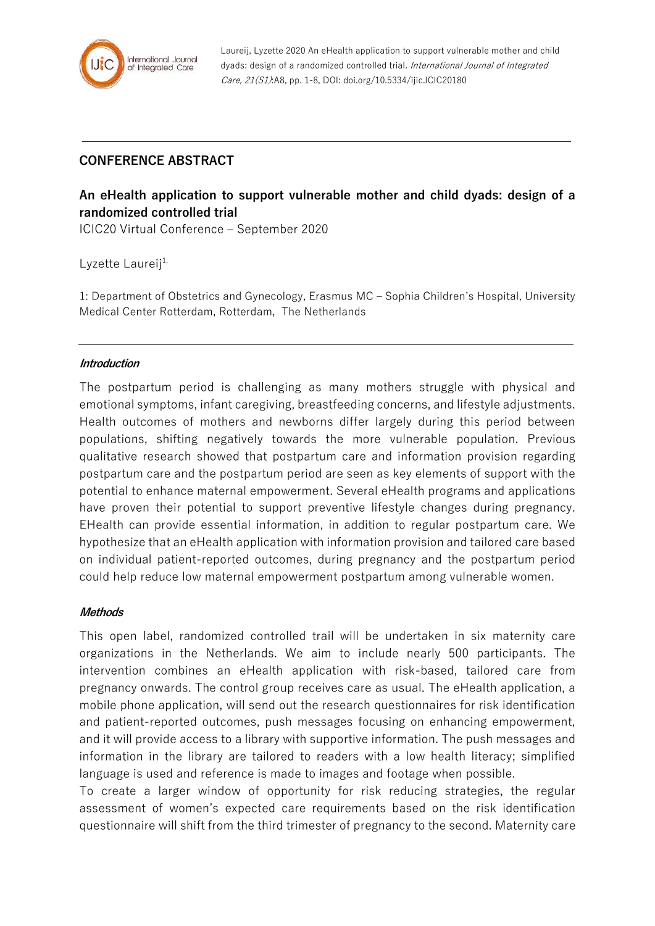

Laureij, Lyzette 2020 An eHealth application to support vulnerable mother and child dyads: design of a randomized controlled trial. International Journal of Integrated Care, 21(S1):A8, pp. 1-8, DOI: doi.org/10.5334/ijic.ICIC20180

## **CONFERENCE ABSTRACT**

# **An eHealth application to support vulnerable mother and child dyads: design of a randomized controlled trial**

ICIC20 Virtual Conference – September 2020

Lyzette Laureij<sup>1,</sup>

1: Department of Obstetrics and Gynecology, Erasmus MC – Sophia Children's Hospital, University Medical Center Rotterdam, Rotterdam, The Netherlands

#### **Introduction**

The postpartum period is challenging as many mothers struggle with physical and emotional symptoms, infant caregiving, breastfeeding concerns, and lifestyle adjustments. Health outcomes of mothers and newborns differ largely during this period between populations, shifting negatively towards the more vulnerable population. Previous qualitative research showed that postpartum care and information provision regarding postpartum care and the postpartum period are seen as key elements of support with the potential to enhance maternal empowerment. Several eHealth programs and applications have proven their potential to support preventive lifestyle changes during pregnancy. EHealth can provide essential information, in addition to regular postpartum care. We hypothesize that an eHealth application with information provision and tailored care based on individual patient-reported outcomes, during pregnancy and the postpartum period could help reduce low maternal empowerment postpartum among vulnerable women.

#### **Methods**

This open label, randomized controlled trail will be undertaken in six maternity care organizations in the Netherlands. We aim to include nearly 500 participants. The intervention combines an eHealth application with risk-based, tailored care from pregnancy onwards. The control group receives care as usual. The eHealth application, a mobile phone application, will send out the research questionnaires for risk identification and patient-reported outcomes, push messages focusing on enhancing empowerment, and it will provide access to a library with supportive information. The push messages and information in the library are tailored to readers with a low health literacy; simplified language is used and reference is made to images and footage when possible.

To create a larger window of opportunity for risk reducing strategies, the regular assessment of women's expected care requirements based on the risk identification questionnaire will shift from the third trimester of pregnancy to the second. Maternity care